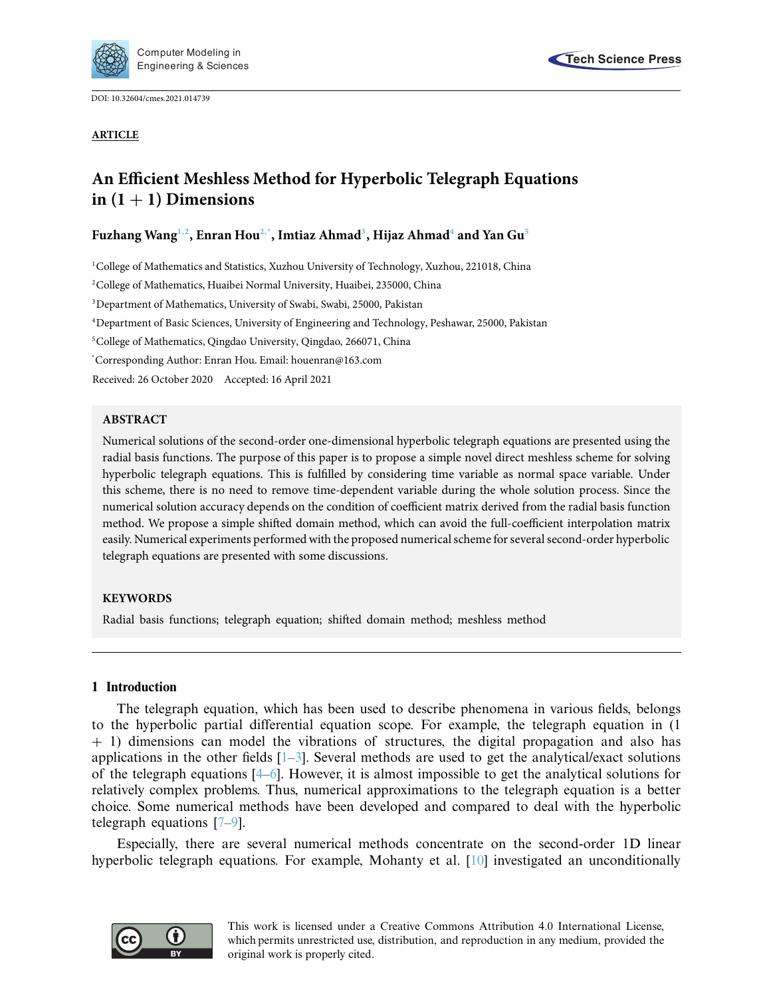

DOI: [10.32604/cmes.2021.014739](http://dx.doi.org/10.32604/cmes.2021.014739)

**ARTICLE**

# **An Efficient Meshless Method for Hyperbolic Telegraph Equations**  $\text{in}$   $(1 + 1)$  Dimensions

## **Fuzhang Wan[g1,](#page-0-0)[2,](#page-0-1) Enran Ho[u2](#page-0-1)[,\\*,](#page-0-2) Imtiaz Ahma[d3](#page-0-3) , Hijaz Ahma[d4](#page-0-4) and Yan G[u5](#page-0-5)**

<span id="page-0-0"></span><sup>1</sup>College of Mathematics and Statistics, Xuzhou University of Technology, Xuzhou, 221018, China

<span id="page-0-1"></span>2College of Mathematics, Huaibei Normal University, Huaibei, 235000, China

<span id="page-0-3"></span>3Department of Mathematics, University of Swabi, Swabi, 25000, Pakistan

<span id="page-0-4"></span>4Department of Basic Sciences, University of Engineering and Technology, Peshawar, 25000, Pakistan

<span id="page-0-5"></span>5College of Mathematics, Qingdao University, Qingdao, 266071, China

<span id="page-0-2"></span>\* Corresponding Author: Enran Hou. Email: houenran@163.com

Received: 26 October 2020 Accepted: 16 April 2021

## **ABSTRACT**

Numerical solutions of the second-order one-dimensional hyperbolic telegraph equations are presented using the radial basis functions. The purpose of this paper is to propose a simple novel direct meshless scheme for solving hyperbolic telegraph equations. This is fulfilled by considering time variable as normal space variable. Under this scheme, there is no need to remove time-dependent variable during the whole solution process. Since the numerical solution accuracy depends on the condition of coefficient matrix derived from the radial basis function method. We propose a simple shifted domain method, which can avoid the full-coefficient interpolation matrix easily. Numerical experiments performed with the proposed numerical scheme for several second-order hyperbolic telegraph equations are presented with some discussions.

## **KEYWORDS**

Radial basis functions; telegraph equation; shifted domain method; meshless method

## **1 Introduction**

The telegraph equation, which has been used to describe phenomena in various fields, belongs to the hyperbolic partial differential equation scope. For example, the telegraph equation in (1 + 1) dimensions can model the vibrations of structures, the digital propagation and also has applications in the other fields  $[1-3]$  $[1-3]$ . Several methods are used to get the analytical/exact solutions of the telegraph equations  $[4–6]$  $[4–6]$ . However, it is almost impossible to get the analytical solutions for relatively complex problems. Thus, numerical approximations to the telegraph equation is a better choice. Some numerical methods have been developed and compared to deal with the hyperbolic telegraph equations [\[7](#page-9-4)[–9](#page-9-5)].

Especially, there are several numerical methods concentrate on the second-order 1D linear hyperbolic telegraph equations. For example, Mohanty et al. [\[10\]](#page-9-6) investigated an unconditionally

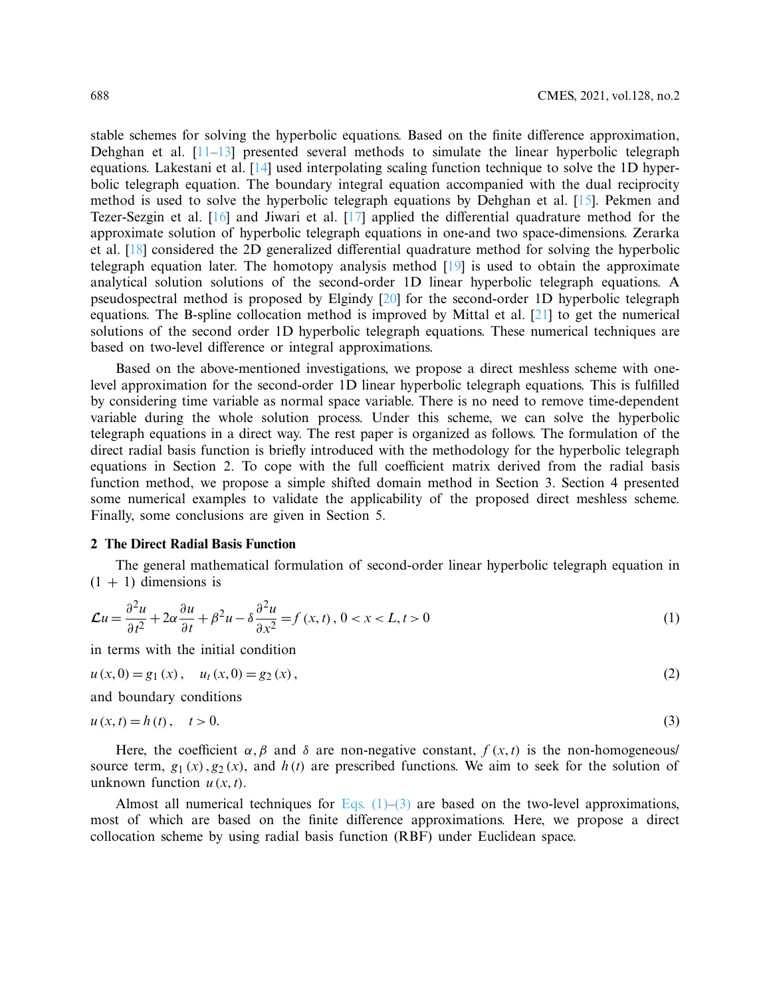stable schemes for solving the hyperbolic equations. Based on the finite difference approximation, Dehghan et al. [\[11](#page-9-7)[–13\]](#page-10-0) presented several methods to simulate the linear hyperbolic telegraph equations. Lakestani et al. [\[14\]](#page-10-1) used interpolating scaling function technique to solve the 1D hyperbolic telegraph equation. The boundary integral equation accompanied with the dual reciprocity method is used to solve the hyperbolic telegraph equations by Dehghan et al. [\[15\]](#page-10-2). Pekmen and Tezer-Sezgin et al. [\[16\]](#page-10-3) and Jiwari et al. [\[17](#page-10-4)] applied the differential quadrature method for the approximate solution of hyperbolic telegraph equations in one-and two space-dimensions. Zerarka et al. [\[18\]](#page-10-5) considered the 2D generalized differential quadrature method for solving the hyperbolic telegraph equation later. The homotopy analysis method [\[19](#page-10-6)] is used to obtain the approximate analytical solution solutions of the second-order 1D linear hyperbolic telegraph equations. A pseudospectral method is proposed by Elgindy [\[20](#page-10-7)] for the second-order 1D hyperbolic telegraph equations. The B-spline collocation method is improved by Mittal et al. [\[21\]](#page-10-8) to get the numerical solutions of the second order 1D hyperbolic telegraph equations. These numerical techniques are based on two-level difference or integral approximations.

Based on the above-mentioned investigations, we propose a direct meshless scheme with onelevel approximation for the second-order 1D linear hyperbolic telegraph equations. This is fulfilled by considering time variable as normal space variable. There is no need to remove time-dependent variable during the whole solution process. Under this scheme, we can solve the hyperbolic telegraph equations in a direct way. The rest paper is organized as follows. The formulation of the direct radial basis function is briefly introduced with the methodology for the hyperbolic telegraph equations in Section 2. To cope with the full coefficient matrix derived from the radial basis function method, we propose a simple shifted domain method in Section 3. Section 4 presented some numerical examples to validate the applicability of the proposed direct meshless scheme. Finally, some conclusions are given in Section 5.

## **2 The Direct Radial Basis Function**

The general mathematical formulation of second-order linear hyperbolic telegraph equation in  $(1 + 1)$  dimensions is

$$
\mathcal{L}u = \frac{\partial^2 u}{\partial t^2} + 2\alpha \frac{\partial u}{\partial t} + \beta^2 u - \delta \frac{\partial^2 u}{\partial x^2} = f(x, t), \ 0 < x < L, t > 0 \tag{1}
$$

<span id="page-1-0"></span>in terms with the initial condition

$$
u(x,0) = g_1(x), \quad u_t(x,0) = g_2(x), \tag{2}
$$

<span id="page-1-1"></span>and boundary conditions

$$
u(x,t) = h(t), \quad t > 0.
$$
 (3)

Here, the coefficient  $\alpha$ ,  $\beta$  and  $\delta$  are non-negative constant,  $f(x, t)$  is the non-homogeneous/ source term,  $g_1(x)$ ,  $g_2(x)$ , and  $h(t)$  are prescribed functions. We aim to seek for the solution of unknown function  $u(x, t)$ .

Almost all numerical techniques for Eqs.  $(1)$ – $(3)$  are based on the two-level approximations, most of which are based on the finite difference approximations. Here, we propose a direct collocation scheme by using radial basis function (RBF) under Euclidean space.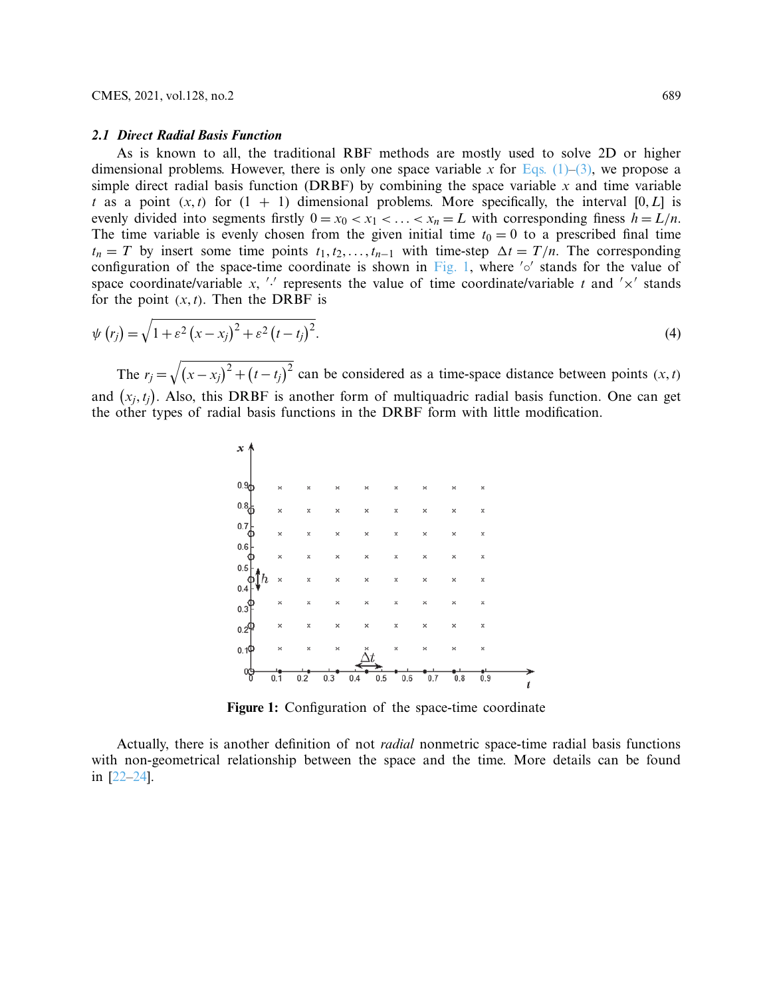#### *2.1 Direct Radial Basis Function*

As is known to all, the traditional RBF methods are mostly used to solve 2D or higher dimensional problems. However, there is only one space variable x for Eqs.  $(1)$ – $(3)$ , we propose a simple direct radial basis function (DRBF) by combining the space variable  $x$  and time variable *t* as a point  $(x, t)$  for  $(1 + 1)$  dimensional problems. More specifically, the interval  $[0, L]$  is evenly divided into segments firstly  $0 = x_0 < x_1 < \ldots < x_n = L$  with corresponding finess  $h = L/n$ . The time variable is evenly chosen from the given initial time  $t_0 = 0$  to a prescribed final time  $t_n = T$  by insert some time points  $t_1, t_2, \ldots, t_{n-1}$  with time-step  $\Delta t = T/n$ . The corresponding configuration of the space-time coordinate is shown in [Fig. 1,](#page-2-0) where  $\frac{1}{2}$  stands for the value of space coordinate/variable x,  $\prime\prime$  represents the value of time coordinate/variable t and  $\prime \times'$  stands for the point  $(x, t)$ . Then the DRBF is

$$
\psi(r_j) = \sqrt{1 + \varepsilon^2 (x - x_j)^2 + \varepsilon^2 (t - t_j)^2}.
$$
\n(4)

The  $r_j = \sqrt{(x - x_j)^2 + (t - t_j)^2}$  can be considered as a time-space distance between points  $(x, t)$ and  $(x_j, t_j)$ . Also, this DRBF is another form of multiquadric radial basis function. One can get the other types of radial basis functions in the DRBF form with little modification.



<span id="page-2-0"></span>**Figure 1:** Configuration of the space-time coordinate

Actually, there is another definition of not *radial* nonmetric space-time radial basis functions with non-geometrical relationship between the space and the time. More details can be found in [\[22](#page-10-9)[–24\]](#page-10-10).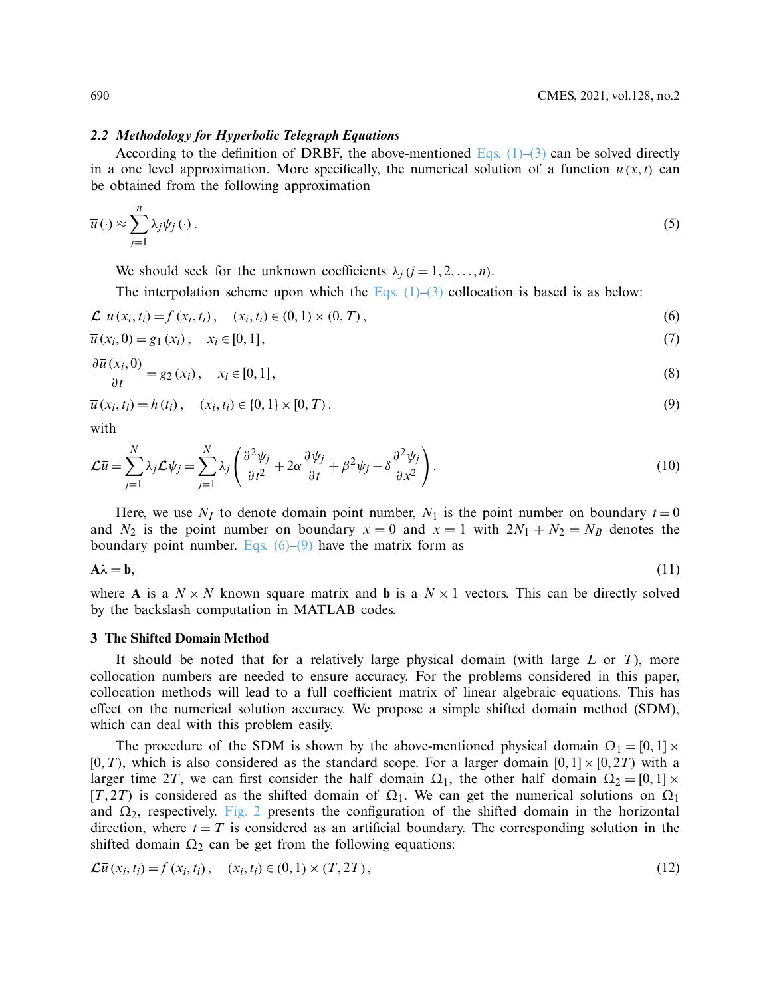#### *2.2 Methodology for Hyperbolic Telegraph Equations*

According to the definition of DRBF, the above-mentioned Eqs.  $(1)$ – $(3)$  can be solved directly in a one level approximation. More specifically, the numerical solution of a function  $u(x, t)$  can be obtained from the following approximation

$$
\overline{u}(\cdot) \approx \sum_{j=1}^{n} \lambda_j \psi_j(\cdot).
$$
 (5)

We should seek for the unknown coefficients  $\lambda_i$  ( $j = 1, 2, ..., n$ ).

<span id="page-3-1"></span><span id="page-3-0"></span>The interpolation scheme upon which the Eqs.  $(1)$ – $(3)$  collocation is based is as below:

$$
\mathcal{L} \ \bar{u}(x_i, t_i) = f(x_i, t_i), \quad (x_i, t_i) \in (0, 1) \times (0, T), \tag{6}
$$

$$
\overline{u}(x_i,0) = g_1(x_i), \quad x_i \in [0,1], \tag{7}
$$

$$
\frac{\partial \overline{u}(x_i,0)}{\partial t} = g_2(x_i), \quad x_i \in [0,1], \tag{8}
$$

$$
\overline{u}(x_i, t_i) = h(t_i), \quad (x_i, t_i) \in \{0, 1\} \times [0, T). \tag{9}
$$

with

$$
\mathcal{L}\overline{u} = \sum_{j=1}^{N} \lambda_j \mathcal{L}\psi_j = \sum_{j=1}^{N} \lambda_j \left( \frac{\partial^2 \psi_j}{\partial t^2} + 2\alpha \frac{\partial \psi_j}{\partial t} + \beta^2 \psi_j - \delta \frac{\partial^2 \psi_j}{\partial x^2} \right).
$$
(10)

Here, we use  $N_I$  to denote domain point number,  $N_I$  is the point number on boundary  $t = 0$ and  $N_2$  is the point number on boundary  $x = 0$  and  $x = 1$  with  $2N_1 + N_2 = N_B$  denotes the boundary point number. Eqs.  $(6)$ – $(9)$  have the matrix form as

$$
A\lambda = b,\tag{11}
$$

where **A** is a  $N \times N$  known square matrix and **b** is a  $N \times 1$  vectors. This can be directly solved by the backslash computation in MATLAB codes.

## **3 The Shifted Domain Method**

It should be noted that for a relatively large physical domain (with large *L* or *T*), more collocation numbers are needed to ensure accuracy. For the problems considered in this paper, collocation methods will lead to a full coefficient matrix of linear algebraic equations. This has effect on the numerical solution accuracy. We propose a simple shifted domain method (SDM), which can deal with this problem easily.

The procedure of the SDM is shown by the above-mentioned physical domain  $\Omega_1 = [0, 1] \times$  $[0, T)$ , which is also considered as the standard scope. For a larger domain  $[0, 1] \times [0, 2T)$  with a larger time 2*T*, we can first consider the half domain  $\Omega_1$ , the other half domain  $\Omega_2 = [0, 1] \times$ [*T*, 2*T*) is considered as the shifted domain of  $\Omega_1$ . We can get the numerical solutions on  $\Omega_1$ and  $\Omega_2$ , respectively. [Fig. 2](#page-4-0) presents the configuration of the shifted domain in the horizontal direction, where  $t = T$  is considered as an artificial boundary. The corresponding solution in the shifted domain  $\Omega_2$  can be get from the following equations:

<span id="page-3-2"></span>
$$
\mathcal{L}\bar{u}(x_i, t_i) = f(x_i, t_i), \quad (x_i, t_i) \in (0, 1) \times (T, 2T), \tag{12}
$$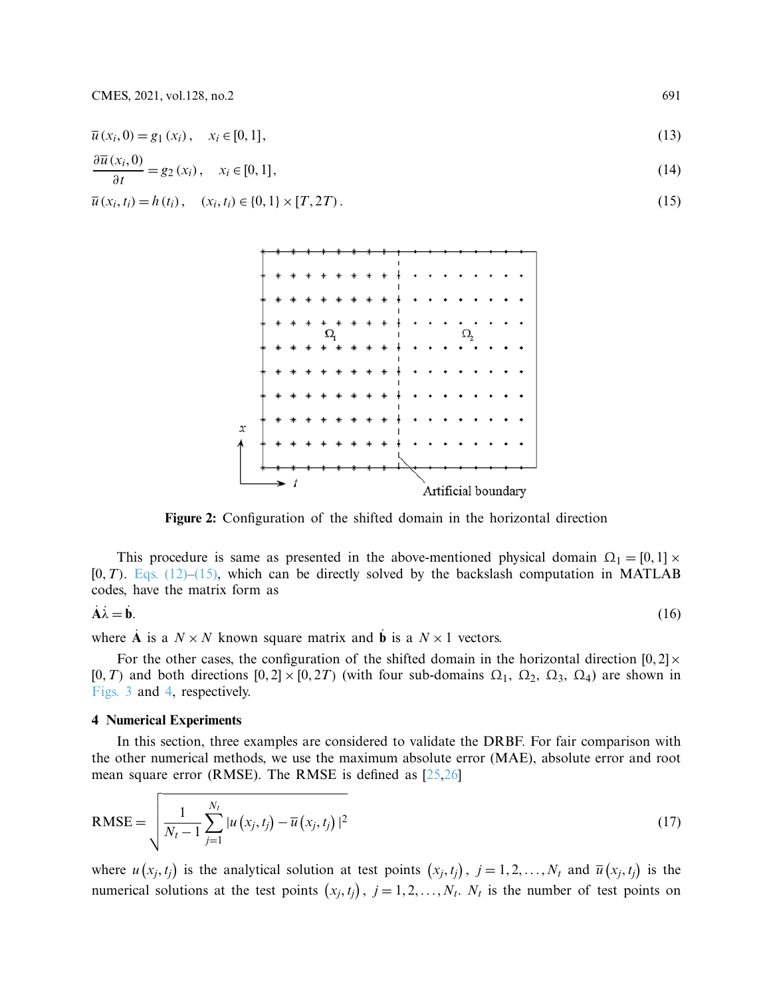$\overline{u}(x_i, 0) = g_1(x_i), \quad x_i \in [0, 1],$ (13)

$$
\frac{\partial \overline{u}(x_i,0)}{\partial t} = g_2(x_i), \quad x_i \in [0,1], \tag{14}
$$

 $\overline{u}(x_i, t_i) = h(t_i), \quad (x_i, t_i) \in \{0, 1\} \times [T, 2T).$ (15)



<span id="page-4-0"></span>**Figure 2:** Configuration of the shifted domain in the horizontal direction

This procedure is same as presented in the above-mentioned physical domain  $\Omega_1 = [0, 1] \times$  $[0, T)$ . Eqs.  $(12)$ – $(15)$ , which can be directly solved by the backslash computation in MATLAB codes, have the matrix form as

$$
\dot{\mathbf{A}}\dot{\lambda} = \dot{\mathbf{b}}.\tag{16}
$$

where **A** is a  $N \times N$  known square matrix and **b** is a  $N \times 1$  vectors.

For the other cases, the configuration of the shifted domain in the horizontal direction  $[0, 2] \times$ [0,*T*) and both directions  $[0, 2] \times [0, 2T)$  (with four sub-domains  $\Omega_1$ ,  $\Omega_2$ ,  $\Omega_3$ ,  $\Omega_4$ ) are shown in [Figs. 3](#page-5-0) and [4,](#page-5-1) respectively.

## **4 Numerical Experiments**

In this section, three examples are considered to validate the DRBF. For fair comparison with the other numerical methods, we use the maximum absolute error (MAE), absolute error and root mean square error (RMSE). The RMSE is defined as [\[25](#page-10-11)[,26\]](#page-10-12)

RMSE = 
$$
\sqrt{\frac{1}{N_t - 1} \sum_{j=1}^{N_t} |u(x_j, t_j) - \overline{u}(x_j, t_j)|^2}
$$
 (17)

where  $u(x_j, t_j)$  is the analytical solution at test points  $(x_j, t_j)$ ,  $j = 1, 2, ..., N_t$  and  $\overline{u}(x_j, t_j)$  is the numerical solutions at the test points  $(x_j, t_j)$ ,  $j = 1, 2, ..., N_t$ . *N<sub>t</sub>* is the number of test points on

<span id="page-4-1"></span>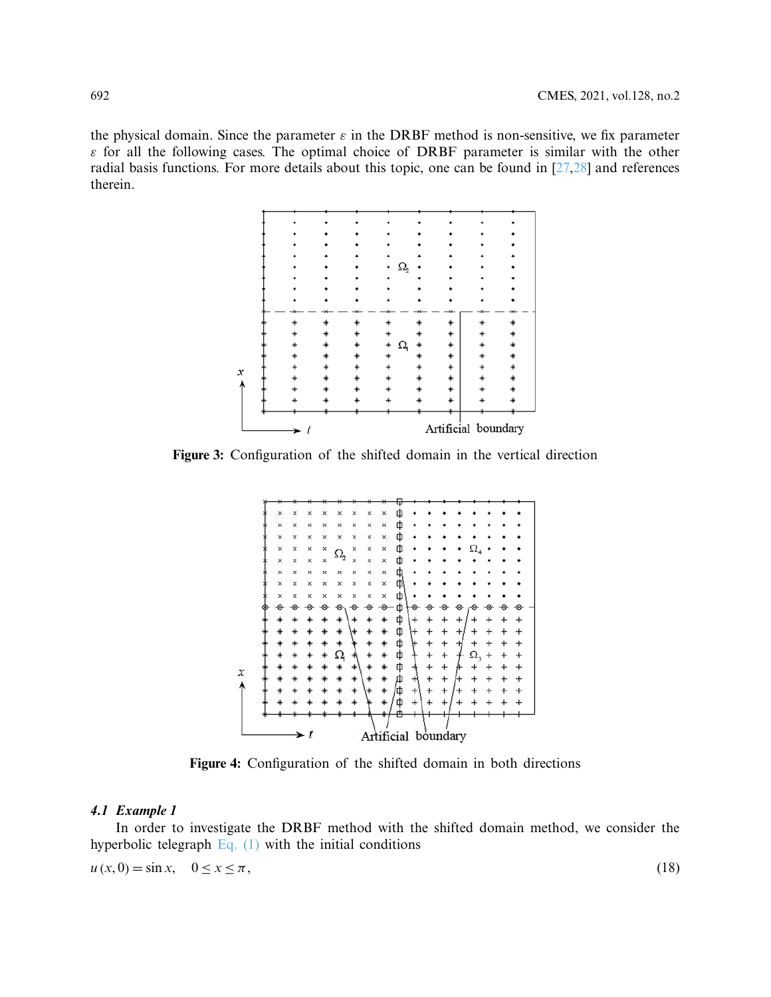the physical domain. Since the parameter  $\varepsilon$  in the DRBF method is non-sensitive, we fix parameter  $\varepsilon$  for all the following cases. The optimal choice of DRBF parameter is similar with the other radial basis functions. For more details about this topic, one can be found in [\[27](#page-10-13)[,28\]](#page-10-14) and references therein.



**Figure 3:** Configuration of the shifted domain in the vertical direction

<span id="page-5-0"></span>

<span id="page-5-1"></span>**Figure 4:** Configuration of the shifted domain in both directions

#### *4.1 Example 1*

In order to investigate the DRBF method with the shifted domain method, we consider the hyperbolic telegraph  $Eq. (1)$  with the initial conditions

 $u(x,0) = \sin x, \quad 0 \le x \le \pi$ , (18)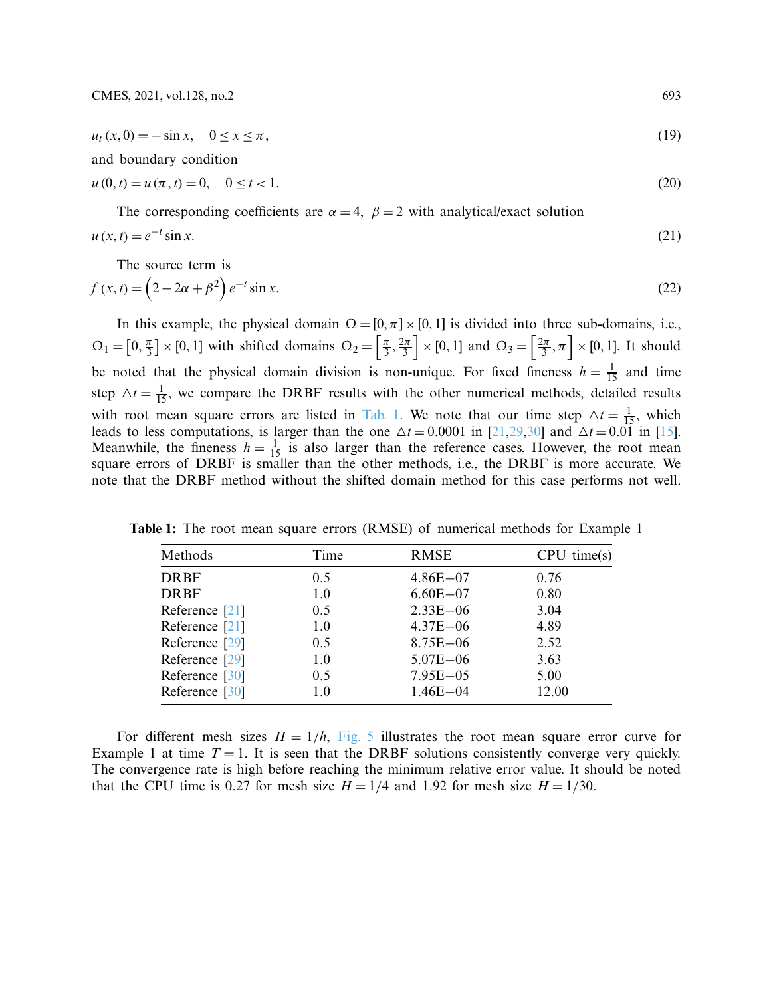$$
u_t(x,0) = -\sin x, \quad 0 \le x \le \pi,
$$
\n(19)

and boundary condition

$$
u(0,t) = u(\pi, t) = 0, \quad 0 \le t < 1.
$$
\n(20)

The corresponding coefficients are  $\alpha = 4$ ,  $\beta = 2$  with analytical/exact solution  $u(x,t) = e^{-t} \sin x.$  (21)

The source term is

$$
f(x,t) = \left(2 - 2\alpha + \beta^2\right)e^{-t}\sin x.
$$
\n<sup>(22)</sup>

In this example, the physical domain  $\Omega = [0, \pi] \times [0, 1]$  is divided into three sub-domains, i.e.,  $\Omega_1 = \left[0, \frac{\pi}{3}\right] \times [0, 1]$  with shifted domains  $\Omega_2 = \left[\frac{\pi}{3}, \frac{2\pi}{3}\right] \times [0, 1]$  and  $\Omega_3 = \left[\frac{2\pi}{3}, \pi\right] \times [0, 1]$ . It should be noted that the physical domain division is non-unique. For fixed fineness  $h = \frac{1}{15}$  and time step  $\Delta t = \frac{1}{15}$ , we compare the DRBF results with the other numerical methods, detailed results with root mean square errors are listed in [Tab. 1.](#page-6-0) We note that our time step  $\Delta t = \frac{1}{15}$ , which leads to less computations, is larger than the one  $\Delta t = 0.0001$  in [\[21](#page-10-8)[,29](#page-10-15)[,30\]](#page-10-16) and  $\Delta t = 0.01$  in [\[15](#page-10-2)]. Meanwhile, the fineness  $h = \frac{1}{15}$  is also larger than the reference cases. However, the root mean square errors of DRBF is smaller than the other methods, i.e., the DRBF is more accurate. We note that the DRBF method without the shifted domain method for this case performs not well.

| Methods        | Time | <b>RMSE</b>  | $CPU \ time(s)$ |
|----------------|------|--------------|-----------------|
| <b>DRBF</b>    | 0.5  | $4.86E - 07$ | 0.76            |
| <b>DRBF</b>    | 1.0  | $6.60E - 07$ | 0.80            |
| Reference [21] | 0.5  | $2.33E - 06$ | 3.04            |
| Reference [21] | 1.0  | $4.37E - 06$ | 4.89            |
| Reference [29] | 0.5  | $8.75E - 06$ | 2.52            |
| Reference [29] | 1.0  | $5.07E - 06$ | 3.63            |
| Reference [30] | 0.5  | $7.95E - 05$ | 5.00            |
| Reference [30] | 1.0  | $1.46E - 04$ | 12.00           |

<span id="page-6-0"></span>**Table 1:** The root mean square errors (RMSE) of numerical methods for Example 1

For different mesh sizes  $H = 1/h$ , [Fig. 5](#page-7-0) illustrates the root mean square error curve for Example 1 at time  $T = 1$ . It is seen that the DRBF solutions consistently converge very quickly. The convergence rate is high before reaching the minimum relative error value. It should be noted that the CPU time is 0.27 for mesh size  $H = 1/4$  and 1.92 for mesh size  $H = 1/30$ .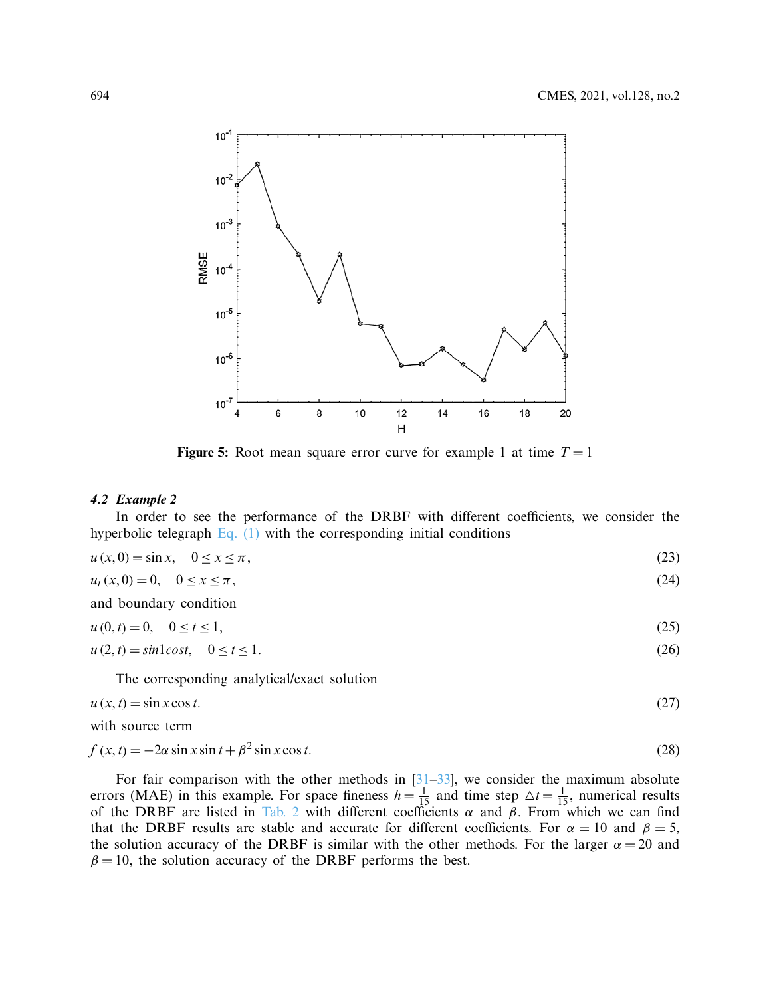

<span id="page-7-0"></span>**Figure 5:** Root mean square error curve for example 1 at time  $T = 1$ 

#### *4.2 Example 2*

In order to see the performance of the DRBF with different coefficients, we consider the hyperbolic telegraph  $Eq. (1)$  with the corresponding initial conditions

| (23) |
|------|
|      |

$$
u_t(x,0) = 0, \quad 0 \le x \le \pi,
$$
\n(24)

and boundary condition

$$
u(0, t) = 0, \quad 0 \le t \le 1,\tag{25}
$$

$$
u(2,t) = \sin l \cos t, \quad 0 \le t \le 1. \tag{26}
$$

The corresponding analytical/exact solution

$$
u(x,t) = \sin x \cos t. \tag{27}
$$

with source term

$$
f(x,t) = -2\alpha \sin x \sin t + \beta^2 \sin x \cos t.
$$
 (28)

For fair comparison with the other methods in  $[31-33]$  $[31-33]$ , we consider the maximum absolute errors (MAE) in this example. For space fineness  $h = \frac{1}{15}$  and time step  $\Delta t = \frac{1}{15}$ , numerical results of the DRBF are listed in [Tab. 2](#page-8-0) with different coefficients  $\alpha$  and  $\beta$ . From which we can find that the DRBF results are stable and accurate for different coefficients. For  $\alpha = 10$  and  $\beta = 5$ , the solution accuracy of the DRBF is similar with the other methods. For the larger  $\alpha = 20$  and  $\beta = 10$ , the solution accuracy of the DRBF performs the best.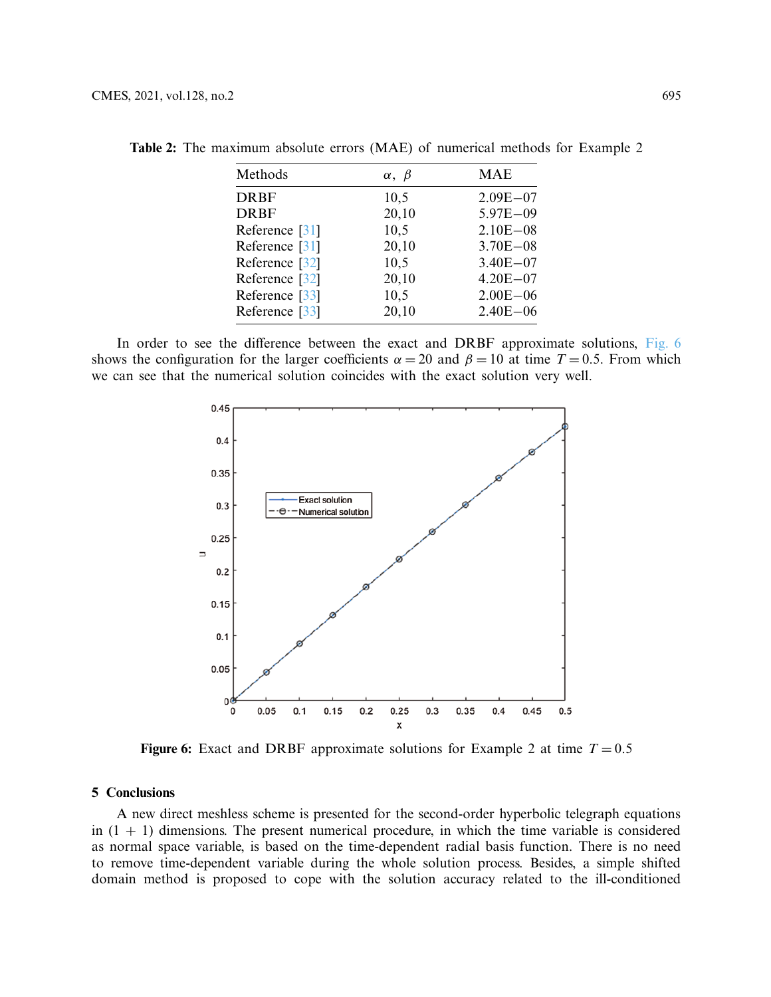| Methods        | $\alpha, \beta$ | <b>MAE</b>   |
|----------------|-----------------|--------------|
| <b>DRBF</b>    | 10,5            | $2.09E - 07$ |
| <b>DRBF</b>    | 20,10           | $5.97E - 09$ |
| Reference [31] | 10,5            | $2.10E - 08$ |
| Reference [31] | 20,10           | $3.70E - 08$ |
| Reference [32] | 10,5            | $3.40E - 07$ |
| Reference [32] | 20,10           | $4.20E - 07$ |
| Reference [33] | 10,5            | $2.00E - 06$ |
| Reference [33] | 20,10           | $2.40E - 06$ |

<span id="page-8-0"></span>**Table 2:** The maximum absolute errors (MAE) of numerical methods for Example 2

In order to see the difference between the exact and DRBF approximate solutions, [Fig. 6](#page-8-1) shows the configuration for the larger coefficients  $\alpha = 20$  and  $\beta = 10$  at time  $T = 0.5$ . From which we can see that the numerical solution coincides with the exact solution very well.



<span id="page-8-1"></span>**Figure 6:** Exact and DRBF approximate solutions for Example 2 at time  $T = 0.5$ 

#### **5 Conclusions**

A new direct meshless scheme is presented for the second-order hyperbolic telegraph equations in  $(1 + 1)$  dimensions. The present numerical procedure, in which the time variable is considered as normal space variable, is based on the time-dependent radial basis function. There is no need to remove time-dependent variable during the whole solution process. Besides, a simple shifted domain method is proposed to cope with the solution accuracy related to the ill-conditioned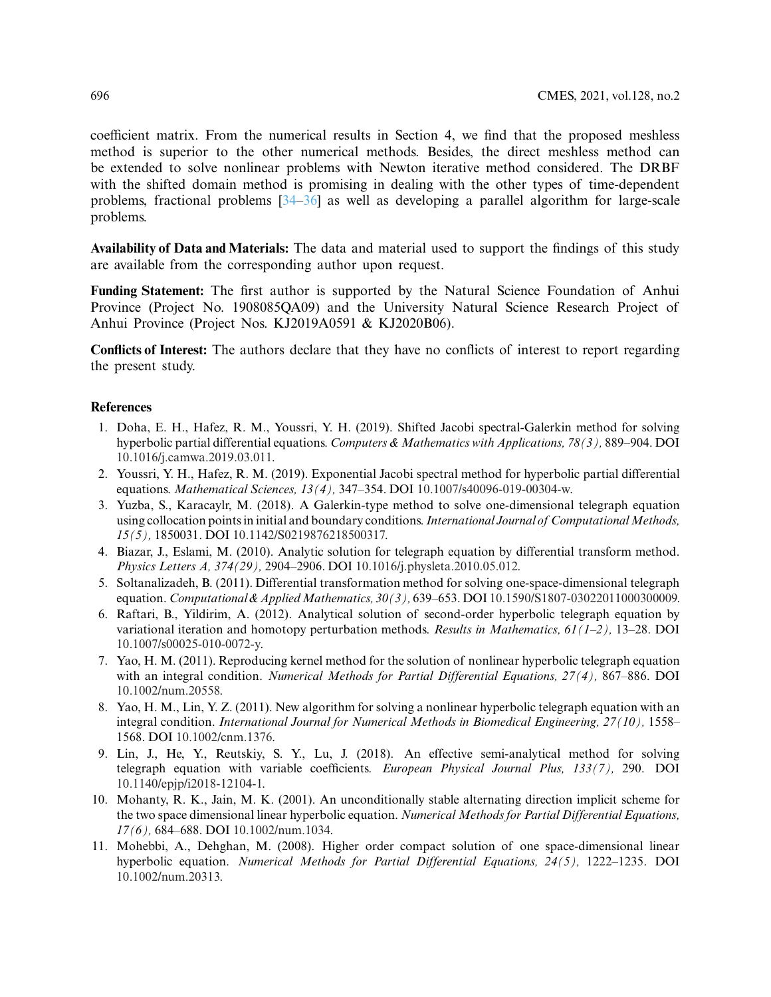coefficient matrix. From the numerical results in Section 4, we find that the proposed meshless method is superior to the other numerical methods. Besides, the direct meshless method can be extended to solve nonlinear problems with Newton iterative method considered. The DRBF with the shifted domain method is promising in dealing with the other types of time-dependent problems, fractional problems [\[34](#page-11-3)[–36\]](#page-11-4) as well as developing a parallel algorithm for large-scale problems.

**Availability of Data and Materials:** The data and material used to support the findings of this study are available from the corresponding author upon request.

**Funding Statement:** The first author is supported by the Natural Science Foundation of Anhui Province (Project No. 1908085QA09) and the University Natural Science Research Project of Anhui Province (Project Nos. KJ2019A0591 & KJ2020B06).

**Conflicts of Interest:** The authors declare that they have no conflicts of interest to report regarding the present study.

## **References**

- <span id="page-9-0"></span>1. Doha, E. H., Hafez, R. M., Youssri, Y. H. (2019). Shifted Jacobi spectral-Galerkin method for solving hyperbolic partial differential equations. *Computers & Mathematics with Applications, 78(3),* 889–904. DOI [10.1016/j.camwa.2019.03.011.](http://dx.doi.org/10.1016/j.camwa.2019.03.011)
- 2. Youssri, Y. H., Hafez, R. M. (2019). Exponential Jacobi spectral method for hyperbolic partial differential equations. *Mathematical Sciences, 13(4),* 347–354. DOI [10.1007/s40096-019-00304-w.](http://dx.doi.org/10.1007/s40096-019-00304-w)
- <span id="page-9-1"></span>3. Yuzba, S., Karacaylr, M. (2018). A Galerkin-type method to solve one-dimensional telegraph equation using collocation points in initial and boundary conditions.*International Journal of ComputationalMethods, 15(5),* 1850031. DOI [10.1142/S0219876218500317.](http://dx.doi.org/10.1142/S0219876218500317)
- <span id="page-9-2"></span>4. Biazar, J., Eslami, M. (2010). Analytic solution for telegraph equation by differential transform method. *Physics Letters A, 374(29),* 2904–2906. DOI [10.1016/j.physleta.2010.05.012.](http://dx.doi.org/10.1016/j.physleta.2010.05.012)
- 5. Soltanalizadeh, B. (2011). Differential transformation method for solving one-space-dimensional telegraph equation. *Computational& AppliedMathematics, 30(3),* 639–653. DOI [10.1590/S1807-03022011000300009.](http://dx.doi.org/10.1590/S1807-03022011000300009)
- <span id="page-9-3"></span>6. Raftari, B., Yildirim, A. (2012). Analytical solution of second-order hyperbolic telegraph equation by variational iteration and homotopy perturbation methods. *Results in Mathematics, 61(1–2),* 13–28. DOI [10.1007/s00025-010-0072-y.](http://dx.doi.org/10.1007/s00025-010-0072-y)
- <span id="page-9-4"></span>7. Yao, H. M. (2011). Reproducing kernel method for the solution of nonlinear hyperbolic telegraph equation with an integral condition. *Numerical Methods for Partial Differential Equations, 27(4),* 867–886. DOI [10.1002/num.20558.](http://dx.doi.org/10.1002/num.20558)
- 8. Yao, H. M., Lin, Y. Z. (2011). New algorithm for solving a nonlinear hyperbolic telegraph equation with an integral condition. *International Journal for Numerical Methods in Biomedical Engineering, 27(10),* 1558– 1568. DOI [10.1002/cnm.1376.](http://dx.doi.org/10.1002/cnm.1376)
- <span id="page-9-5"></span>9. Lin, J., He, Y., Reutskiy, S. Y., Lu, J. (2018). An effective semi-analytical method for solving telegraph equation with variable coefficients. *European Physical Journal Plus, 133(7),* 290. DOI [10.1140/epjp/i2018-12104-1.](http://dx.doi.org/10.1140/epjp/i2018-12104-1)
- <span id="page-9-6"></span>10. Mohanty, R. K., Jain, M. K. (2001). An unconditionally stable alternating direction implicit scheme for the two space dimensional linear hyperbolic equation. *Numerical Methods for Partial Differential Equations, 17(6),* 684–688. DOI [10.1002/num.1034.](http://dx.doi.org/10.1002/num.1034)
- <span id="page-9-7"></span>11. Mohebbi, A., Dehghan, M. (2008). Higher order compact solution of one space-dimensional linear hyperbolic equation. *Numerical Methods for Partial Differential Equations, 24(5),* 1222–1235. DOI [10.1002/num.20313.](http://dx.doi.org/10.1002/num.20313)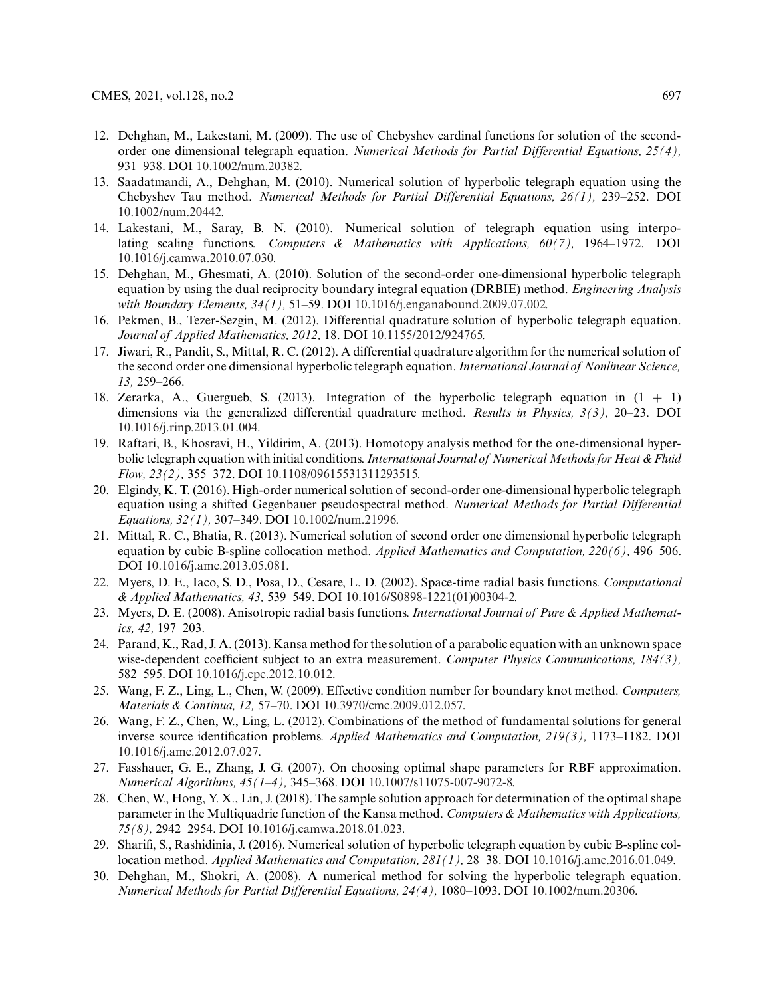- 12. Dehghan, M., Lakestani, M. (2009). The use of Chebyshev cardinal functions for solution of the secondorder one dimensional telegraph equation. *Numerical Methods for Partial Differential Equations, 25(4),* 931–938. DOI [10.1002/num.20382.](http://dx.doi.org/10.1002/num.20382)
- <span id="page-10-0"></span>13. Saadatmandi, A., Dehghan, M. (2010). Numerical solution of hyperbolic telegraph equation using the Chebyshev Tau method. *Numerical Methods for Partial Differential Equations, 26(1),* 239–252. DOI [10.1002/num.20442.](http://dx.doi.org/10.1002/num.20442)
- <span id="page-10-1"></span>14. Lakestani, M., Saray, B. N. (2010). Numerical solution of telegraph equation using interpolating scaling functions. *Computers & Mathematics with Applications, 60(7),* 1964–1972. DOI [10.1016/j.camwa.2010.07.030.](http://dx.doi.org/10.1016/j.camwa.2010.07.030)
- <span id="page-10-2"></span>15. Dehghan, M., Ghesmati, A. (2010). Solution of the second-order one-dimensional hyperbolic telegraph equation by using the dual reciprocity boundary integral equation (DRBIE) method. *Engineering Analysis with Boundary Elements, 34(1),* 51–59. DOI [10.1016/j.enganabound.2009.07.002.](http://dx.doi.org/10.1016/j.enganabound.2009.07.002)
- <span id="page-10-3"></span>16. Pekmen, B., Tezer-Sezgin, M. (2012). Differential quadrature solution of hyperbolic telegraph equation. *Journal of Applied Mathematics, 2012,* 18. DOI [10.1155/2012/924765.](http://dx.doi.org/10.1155/2012/924765)
- <span id="page-10-4"></span>17. Jiwari, R., Pandit, S., Mittal, R. C. (2012). A differential quadrature algorithm for the numerical solution of the second order one dimensional hyperbolic telegraph equation. *International Journal of Nonlinear Science, 13,* 259–266.
- <span id="page-10-5"></span>18. Zerarka, A., Guergueb, S. (2013). Integration of the hyperbolic telegraph equation in (1 + 1) dimensions via the generalized differential quadrature method. *Results in Physics, 3(3),* 20–23. DOI [10.1016/j.rinp.2013.01.004.](http://dx.doi.org/10.1016/j.rinp.2013.01.004)
- <span id="page-10-6"></span>19. Raftari, B., Khosravi, H., Yildirim, A. (2013). Homotopy analysis method for the one-dimensional hyperbolic telegraph equation with initial conditions. *International Journal of Numerical Methods for Heat & Fluid Flow, 23(2),* 355–372. DOI [10.1108/09615531311293515.](http://dx.doi.org/10.1108/09615531311293515)
- <span id="page-10-7"></span>20. Elgindy, K. T. (2016). High-order numerical solution of second-order one-dimensional hyperbolic telegraph equation using a shifted Gegenbauer pseudospectral method. *Numerical Methods for Partial Differential Equations, 32(1),* 307–349. DOI [10.1002/num.21996.](http://dx.doi.org/10.1002/num.21996)
- <span id="page-10-8"></span>21. Mittal, R. C., Bhatia, R. (2013). Numerical solution of second order one dimensional hyperbolic telegraph equation by cubic B-spline collocation method. *Applied Mathematics and Computation, 220(6),* 496–506. DOI [10.1016/j.amc.2013.05.081.](http://dx.doi.org/10.1016/j.amc.2013.05.081)
- <span id="page-10-9"></span>22. Myers, D. E., Iaco, S. D., Posa, D., Cesare, L. D. (2002). Space-time radial basis functions. *Computational & Applied Mathematics, 43,* 539–549. DOI [10.1016/S0898-1221\(01\)00304-2.](http://dx.doi.org/10.1016/S0898-1221(01)00304-2)
- 23. Myers, D. E. (2008). Anisotropic radial basis functions. *International Journal of Pure & Applied Mathematics, 42,* 197–203.
- <span id="page-10-10"></span>24. Parand, K., Rad, J. A. (2013). Kansa method for the solution of a parabolic equation with an unknown space wise-dependent coefficient subject to an extra measurement. *Computer Physics Communications, 184(3),* 582–595. DOI [10.1016/j.cpc.2012.10.012.](http://dx.doi.org/10.1016/j.cpc.2012.10.012)
- <span id="page-10-11"></span>25. Wang, F. Z., Ling, L., Chen, W. (2009). Effective condition number for boundary knot method. *Computers, Materials & Continua, 12,* 57–70. DOI [10.3970/cmc.2009.012.057.](http://dx.doi.org/10.3970/cmc.2009.012.057)
- <span id="page-10-12"></span>26. Wang, F. Z., Chen, W., Ling, L. (2012). Combinations of the method of fundamental solutions for general inverse source identification problems. *Applied Mathematics and Computation, 219(3),* 1173–1182. DOI [10.1016/j.amc.2012.07.027.](http://dx.doi.org/10.1016/j.amc.2012.07.027)
- <span id="page-10-13"></span>27. Fasshauer, G. E., Zhang, J. G. (2007). On choosing optimal shape parameters for RBF approximation. *Numerical Algorithms, 45(1–4),* 345–368. DOI [10.1007/s11075-007-9072-8.](http://dx.doi.org/10.1007/s11075-007-9072-8)
- <span id="page-10-14"></span>28. Chen, W., Hong, Y. X., Lin, J. (2018). The sample solution approach for determination of the optimal shape parameter in the Multiquadric function of the Kansa method. *Computers & Mathematics with Applications, 75(8),* 2942–2954. DOI [10.1016/j.camwa.2018.01.023.](http://dx.doi.org/10.1016/j.camwa.2018.01.023)
- <span id="page-10-15"></span>29. Sharifi, S., Rashidinia, J. (2016). Numerical solution of hyperbolic telegraph equation by cubic B-spline collocation method. *Applied Mathematics and Computation, 281(1),* 28–38. DOI [10.1016/j.amc.2016.01.049.](http://dx.doi.org/10.1016/j.amc.2016.01.049)
- <span id="page-10-16"></span>30. Dehghan, M., Shokri, A. (2008). A numerical method for solving the hyperbolic telegraph equation. *Numerical Methods for Partial Differential Equations, 24(4),* 1080–1093. DOI [10.1002/num.20306.](http://dx.doi.org/10.1002/num.20306)